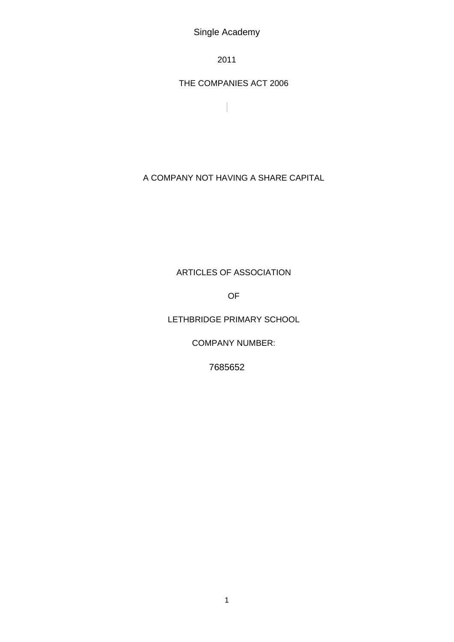2011

THE COMPANIES ACT 2006

A COMPANY NOT HAVING A SHARE CAPITAL

ARTICLES OF ASSOCIATION

OF

LETHBRIDGE PRIMARY SCHOOL

COMPANY NUMBER:

7685652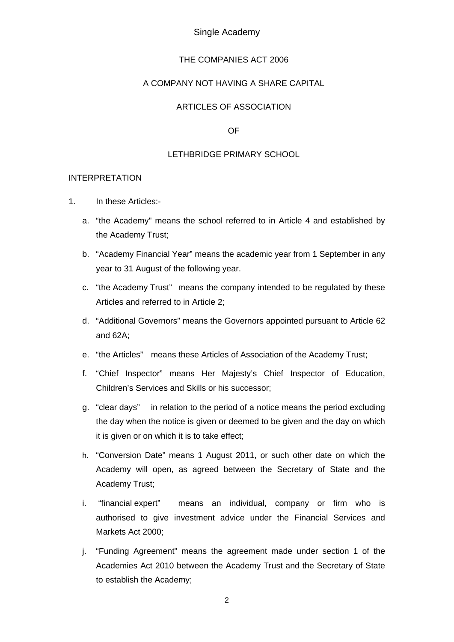### THE COMPANIES ACT 2006

## A COMPANY NOT HAVING A SHARE CAPITAL

## ARTICLES OF ASSOCIATION

OF

#### LETHBRIDGE PRIMARY SCHOOL

#### INTERPRETATION

- 1. In these Articles:
	- a. "the Academy" means the school referred to in Article 4 and established by the Academy Trust;
	- b. "Academy Financial Year" means the academic year from 1 September in any year to 31 August of the following year.
	- c. "the Academy Trust" means the company intended to be regulated by these Articles and referred to in Article 2;
	- d. "Additional Governors" means the Governors appointed pursuant to Article 62 and 62A;
	- e. "the Articles" means these Articles of Association of the Academy Trust;
	- f. "Chief Inspector" means Her Majesty's Chief Inspector of Education, Children's Services and Skills or his successor;
	- g. "clear days" in relation to the period of a notice means the period excluding the day when the notice is given or deemed to be given and the day on which it is given or on which it is to take effect;
	- h. "Conversion Date" means 1 August 2011, or such other date on which the Academy will open, as agreed between the Secretary of State and the Academy Trust;
	- i. "financial expert" means an individual, company or firm who is authorised to give investment advice under the Financial Services and Markets Act 2000;
	- j. "Funding Agreement" means the agreement made under section 1 of the Academies Act 2010 between the Academy Trust and the Secretary of State to establish the Academy;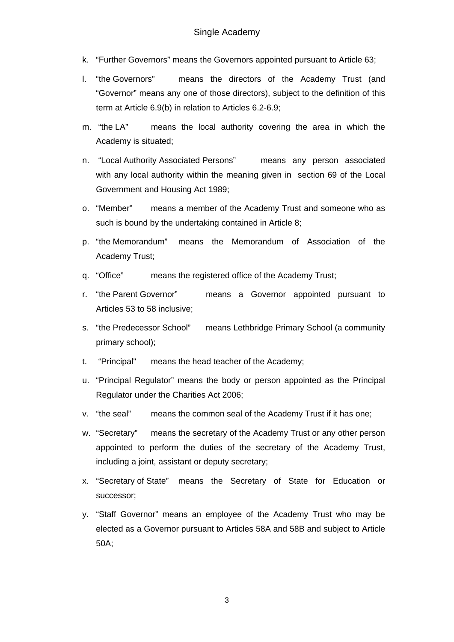- k. "Further Governors" means the Governors appointed pursuant to Article 63;
- l. "the Governors" means the directors of the Academy Trust (and "Governor" means any one of those directors), subject to the definition of this term at Article 6.9(b) in relation to Articles 6.2-6.9;
- m. "the LA" means the local authority covering the area in which the Academy is situated;
- n. "Local Authority Associated Persons" means any person associated with any local authority within the meaning given in section 69 of the Local Government and Housing Act 1989;
- o. "Member" means a member of the Academy Trust and someone who as such is bound by the undertaking contained in Article 8;
- p. "the Memorandum" means the Memorandum of Association of the Academy Trust;
- q. "Office" means the registered office of the Academy Trust;
- r. "the Parent Governor" means a Governor appointed pursuant to Articles 53 to 58 inclusive;
- s. "the Predecessor School" means Lethbridge Primary School (a community primary school);
- t. "Principal" means the head teacher of the Academy;
- u. "Principal Regulator" means the body or person appointed as the Principal Regulator under the Charities Act 2006;
- v. "the seal" means the common seal of the Academy Trust if it has one;
- w. "Secretary" means the secretary of the Academy Trust or any other person appointed to perform the duties of the secretary of the Academy Trust, including a joint, assistant or deputy secretary;
- x. "Secretary of State" means the Secretary of State for Education or successor;
- y. "Staff Governor" means an employee of the Academy Trust who may be elected as a Governor pursuant to Articles 58A and 58B and subject to Article 50A;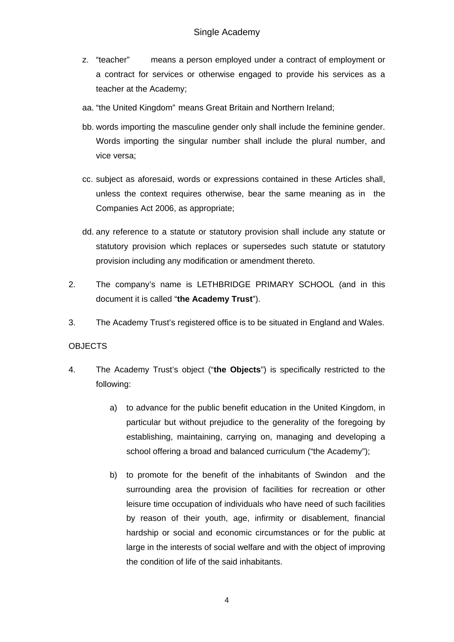- z. "teacher" means a person employed under a contract of employment or a contract for services or otherwise engaged to provide his services as a teacher at the Academy;
- aa. "the United Kingdom" means Great Britain and Northern Ireland;
- bb. words importing the masculine gender only shall include the feminine gender. Words importing the singular number shall include the plural number, and vice versa;
- cc. subject as aforesaid, words or expressions contained in these Articles shall, unless the context requires otherwise, bear the same meaning as in the Companies Act 2006, as appropriate;
- dd. any reference to a statute or statutory provision shall include any statute or statutory provision which replaces or supersedes such statute or statutory provision including any modification or amendment thereto.
- 2. The company's name is LETHBRIDGE PRIMARY SCHOOL (and in this document it is called "**the Academy Trust**").
- 3. The Academy Trust's registered office is to be situated in England and Wales.

# **OBJECTS**

- 4. The Academy Trust's object ("**the Objects**") is specifically restricted to the following:
	- a) to advance for the public benefit education in the United Kingdom, in particular but without prejudice to the generality of the foregoing by establishing, maintaining, carrying on, managing and developing a school offering a broad and balanced curriculum ("the Academy");
	- b) to promote for the benefit of the inhabitants of Swindon and the surrounding area the provision of facilities for recreation or other leisure time occupation of individuals who have need of such facilities by reason of their youth, age, infirmity or disablement, financial hardship or social and economic circumstances or for the public at large in the interests of social welfare and with the object of improving the condition of life of the said inhabitants.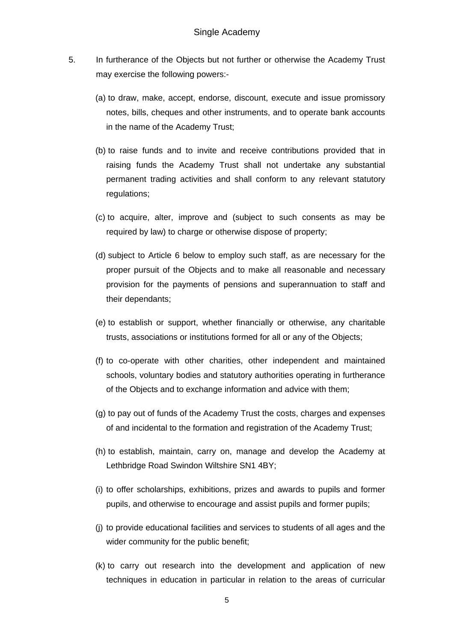- 5. In furtherance of the Objects but not further or otherwise the Academy Trust may exercise the following powers:-
	- (a) to draw, make, accept, endorse, discount, execute and issue promissory notes, bills, cheques and other instruments, and to operate bank accounts in the name of the Academy Trust;
	- (b) to raise funds and to invite and receive contributions provided that in raising funds the Academy Trust shall not undertake any substantial permanent trading activities and shall conform to any relevant statutory regulations;
	- (c) to acquire, alter, improve and (subject to such consents as may be required by law) to charge or otherwise dispose of property;
	- (d) subject to Article 6 below to employ such staff, as are necessary for the proper pursuit of the Objects and to make all reasonable and necessary provision for the payments of pensions and superannuation to staff and their dependants;
	- (e) to establish or support, whether financially or otherwise, any charitable trusts, associations or institutions formed for all or any of the Objects;
	- (f) to co-operate with other charities, other independent and maintained schools, voluntary bodies and statutory authorities operating in furtherance of the Objects and to exchange information and advice with them;
	- (g) to pay out of funds of the Academy Trust the costs, charges and expenses of and incidental to the formation and registration of the Academy Trust;
	- (h) to establish, maintain, carry on, manage and develop the Academy at Lethbridge Road Swindon Wiltshire SN1 4BY;
	- (i) to offer scholarships, exhibitions, prizes and awards to pupils and former pupils, and otherwise to encourage and assist pupils and former pupils;
	- (j) to provide educational facilities and services to students of all ages and the wider community for the public benefit;
	- (k) to carry out research into the development and application of new techniques in education in particular in relation to the areas of curricular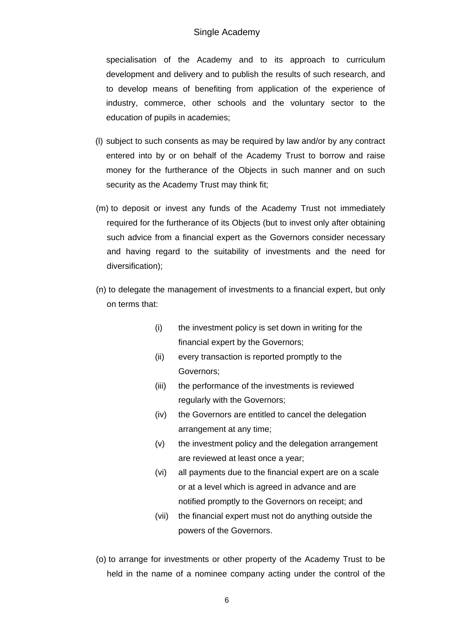specialisation of the Academy and to its approach to curriculum development and delivery and to publish the results of such research, and to develop means of benefiting from application of the experience of industry, commerce, other schools and the voluntary sector to the education of pupils in academies;

- (l) subject to such consents as may be required by law and/or by any contract entered into by or on behalf of the Academy Trust to borrow and raise money for the furtherance of the Objects in such manner and on such security as the Academy Trust may think fit;
- (m) to deposit or invest any funds of the Academy Trust not immediately required for the furtherance of its Objects (but to invest only after obtaining such advice from a financial expert as the Governors consider necessary and having regard to the suitability of investments and the need for diversification);
- (n) to delegate the management of investments to a financial expert, but only on terms that:
	- (i) the investment policy is set down in writing for the financial expert by the Governors;
	- (ii) every transaction is reported promptly to the Governors;
	- (iii) the performance of the investments is reviewed regularly with the Governors;
	- (iv) the Governors are entitled to cancel the delegation arrangement at any time;
	- (v) the investment policy and the delegation arrangement are reviewed at least once a year;
	- (vi) all payments due to the financial expert are on a scale or at a level which is agreed in advance and are notified promptly to the Governors on receipt; and
	- (vii) the financial expert must not do anything outside the powers of the Governors.
- (o) to arrange for investments or other property of the Academy Trust to be held in the name of a nominee company acting under the control of the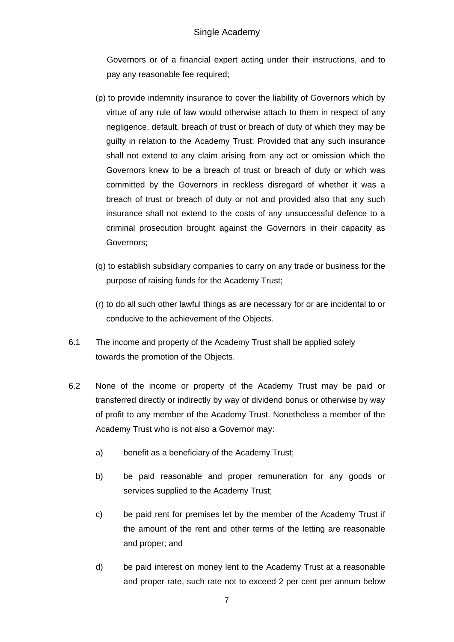Governors or of a financial expert acting under their instructions, and to pay any reasonable fee required;

- (p) to provide indemnity insurance to cover the liability of Governors which by virtue of any rule of law would otherwise attach to them in respect of any negligence, default, breach of trust or breach of duty of which they may be guilty in relation to the Academy Trust: Provided that any such insurance shall not extend to any claim arising from any act or omission which the Governors knew to be a breach of trust or breach of duty or which was committed by the Governors in reckless disregard of whether it was a breach of trust or breach of duty or not and provided also that any such insurance shall not extend to the costs of any unsuccessful defence to a criminal prosecution brought against the Governors in their capacity as Governors;
- (q) to establish subsidiary companies to carry on any trade or business for the purpose of raising funds for the Academy Trust;
- (r) to do all such other lawful things as are necessary for or are incidental to or conducive to the achievement of the Objects.
- 6.1 The income and property of the Academy Trust shall be applied solely towards the promotion of the Objects.
- 6.2 None of the income or property of the Academy Trust may be paid or transferred directly or indirectly by way of dividend bonus or otherwise by way of profit to any member of the Academy Trust. Nonetheless a member of the Academy Trust who is not also a Governor may:
	- a) benefit as a beneficiary of the Academy Trust;
	- b) be paid reasonable and proper remuneration for any goods or services supplied to the Academy Trust;
	- c) be paid rent for premises let by the member of the Academy Trust if the amount of the rent and other terms of the letting are reasonable and proper; and
	- d) be paid interest on money lent to the Academy Trust at a reasonable and proper rate, such rate not to exceed 2 per cent per annum below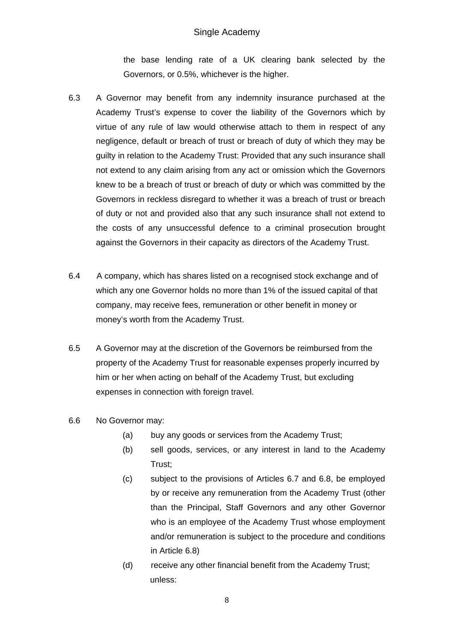the base lending rate of a UK clearing bank selected by the Governors, or 0.5%, whichever is the higher.

- 6.3 A Governor may benefit from any indemnity insurance purchased at the Academy Trust's expense to cover the liability of the Governors which by virtue of any rule of law would otherwise attach to them in respect of any negligence, default or breach of trust or breach of duty of which they may be guilty in relation to the Academy Trust: Provided that any such insurance shall not extend to any claim arising from any act or omission which the Governors knew to be a breach of trust or breach of duty or which was committed by the Governors in reckless disregard to whether it was a breach of trust or breach of duty or not and provided also that any such insurance shall not extend to the costs of any unsuccessful defence to a criminal prosecution brought against the Governors in their capacity as directors of the Academy Trust.
- 6.4 A company, which has shares listed on a recognised stock exchange and of which any one Governor holds no more than 1% of the issued capital of that company, may receive fees, remuneration or other benefit in money or money's worth from the Academy Trust.
- 6.5 A Governor may at the discretion of the Governors be reimbursed from the property of the Academy Trust for reasonable expenses properly incurred by him or her when acting on behalf of the Academy Trust, but excluding expenses in connection with foreign travel.
- 6.6 No Governor may:
	- (a) buy any goods or services from the Academy Trust;
	- (b) sell goods, services, or any interest in land to the Academy Trust;
	- (c) subject to the provisions of Articles 6.7 and 6.8, be employed by or receive any remuneration from the Academy Trust (other than the Principal, Staff Governors and any other Governor who is an employee of the Academy Trust whose employment and/or remuneration is subject to the procedure and conditions in Article 6.8)
	- (d) receive any other financial benefit from the Academy Trust; unless: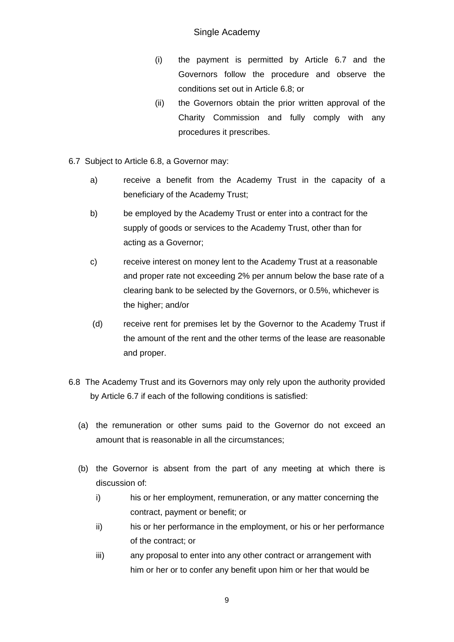- (i) the payment is permitted by Article 6.7 and the Governors follow the procedure and observe the conditions set out in Article 6.8; or
- (ii) the Governors obtain the prior written approval of the Charity Commission and fully comply with any procedures it prescribes.
- 6.7 Subject to Article 6.8, a Governor may:
	- a) receive a benefit from the Academy Trust in the capacity of a beneficiary of the Academy Trust;
	- b) be employed by the Academy Trust or enter into a contract for the supply of goods or services to the Academy Trust, other than for acting as a Governor;
	- c) receive interest on money lent to the Academy Trust at a reasonable and proper rate not exceeding 2% per annum below the base rate of a clearing bank to be selected by the Governors, or 0.5%, whichever is the higher; and/or
	- (d) receive rent for premises let by the Governor to the Academy Trust if the amount of the rent and the other terms of the lease are reasonable and proper.
- 6.8 The Academy Trust and its Governors may only rely upon the authority provided by Article 6.7 if each of the following conditions is satisfied:
	- (a) the remuneration or other sums paid to the Governor do not exceed an amount that is reasonable in all the circumstances;
	- (b) the Governor is absent from the part of any meeting at which there is discussion of:
		- i) his or her employment, remuneration, or any matter concerning the contract, payment or benefit; or
		- ii) his or her performance in the employment, or his or her performance of the contract; or
		- iii) any proposal to enter into any other contract or arrangement with him or her or to confer any benefit upon him or her that would be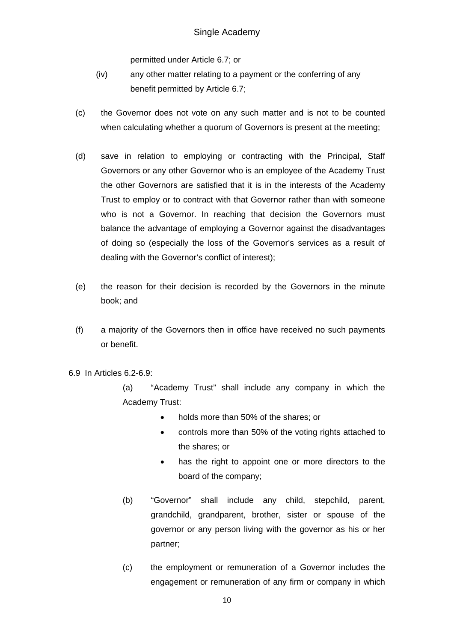permitted under Article 6.7; or

- (iv) any other matter relating to a payment or the conferring of any benefit permitted by Article 6.7;
- (c) the Governor does not vote on any such matter and is not to be counted when calculating whether a quorum of Governors is present at the meeting;
- (d) save in relation to employing or contracting with the Principal, Staff Governors or any other Governor who is an employee of the Academy Trust the other Governors are satisfied that it is in the interests of the Academy Trust to employ or to contract with that Governor rather than with someone who is not a Governor. In reaching that decision the Governors must balance the advantage of employing a Governor against the disadvantages of doing so (especially the loss of the Governor's services as a result of dealing with the Governor's conflict of interest);
- (e) the reason for their decision is recorded by the Governors in the minute book; and
- (f) a majority of the Governors then in office have received no such payments or benefit.
- 6.9 In Articles 6.2-6.9:

(a) "Academy Trust" shall include any company in which the Academy Trust:

- holds more than 50% of the shares; or
- controls more than 50% of the voting rights attached to the shares; or
- has the right to appoint one or more directors to the board of the company;
- (b) "Governor" shall include any child, stepchild, parent, grandchild, grandparent, brother, sister or spouse of the governor or any person living with the governor as his or her partner;
- (c) the employment or remuneration of a Governor includes the engagement or remuneration of any firm or company in which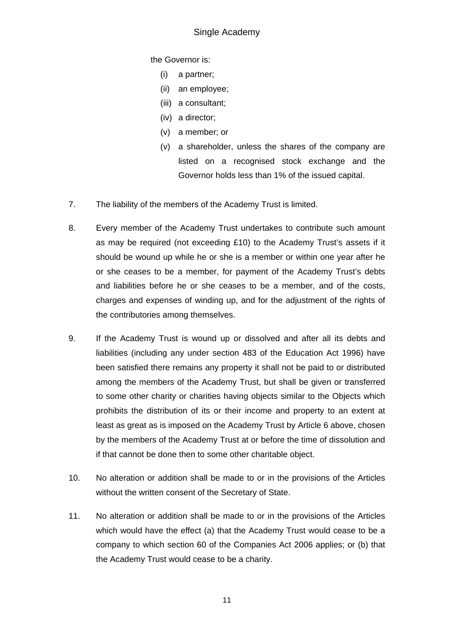the Governor is:

- (i) a partner;
- (ii) an employee;
- (iii) a consultant;
- (iv) a director;
- (v) a member; or
- (v) a shareholder, unless the shares of the company are listed on a recognised stock exchange and the Governor holds less than 1% of the issued capital.
- 7. The liability of the members of the Academy Trust is limited.
- 8. Every member of the Academy Trust undertakes to contribute such amount as may be required (not exceeding £10) to the Academy Trust's assets if it should be wound up while he or she is a member or within one year after he or she ceases to be a member, for payment of the Academy Trust's debts and liabilities before he or she ceases to be a member, and of the costs, charges and expenses of winding up, and for the adjustment of the rights of the contributories among themselves.
- 9. If the Academy Trust is wound up or dissolved and after all its debts and liabilities (including any under section 483 of the Education Act 1996) have been satisfied there remains any property it shall not be paid to or distributed among the members of the Academy Trust, but shall be given or transferred to some other charity or charities having objects similar to the Objects which prohibits the distribution of its or their income and property to an extent at least as great as is imposed on the Academy Trust by Article 6 above, chosen by the members of the Academy Trust at or before the time of dissolution and if that cannot be done then to some other charitable object.
- 10. No alteration or addition shall be made to or in the provisions of the Articles without the written consent of the Secretary of State.
- 11. No alteration or addition shall be made to or in the provisions of the Articles which would have the effect (a) that the Academy Trust would cease to be a company to which section 60 of the Companies Act 2006 applies; or (b) that the Academy Trust would cease to be a charity.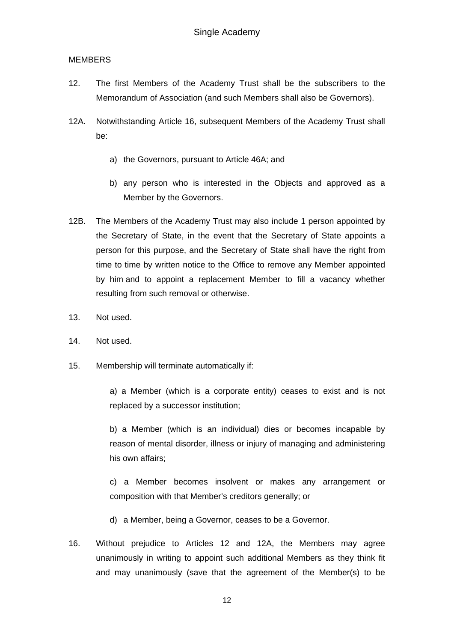## MEMBERS

- 12. The first Members of the Academy Trust shall be the subscribers to the Memorandum of Association (and such Members shall also be Governors).
- 12A. Notwithstanding Article 16, subsequent Members of the Academy Trust shall be:
	- a) the Governors, pursuant to Article 46A; and
	- b) any person who is interested in the Objects and approved as a Member by the Governors.
- 12B. The Members of the Academy Trust may also include 1 person appointed by the Secretary of State, in the event that the Secretary of State appoints a person for this purpose, and the Secretary of State shall have the right from time to time by written notice to the Office to remove any Member appointed by him and to appoint a replacement Member to fill a vacancy whether resulting from such removal or otherwise.
- 13. Not used.
- 14. Not used.
- 15. Membership will terminate automatically if:

a) a Member (which is a corporate entity) ceases to exist and is not replaced by a successor institution;

b) a Member (which is an individual) dies or becomes incapable by reason of mental disorder, illness or injury of managing and administering his own affairs;

c) a Member becomes insolvent or makes any arrangement or composition with that Member's creditors generally; or

- d) a Member, being a Governor, ceases to be a Governor.
- 16. Without prejudice to Articles 12 and 12A, the Members may agree unanimously in writing to appoint such additional Members as they think fit and may unanimously (save that the agreement of the Member(s) to be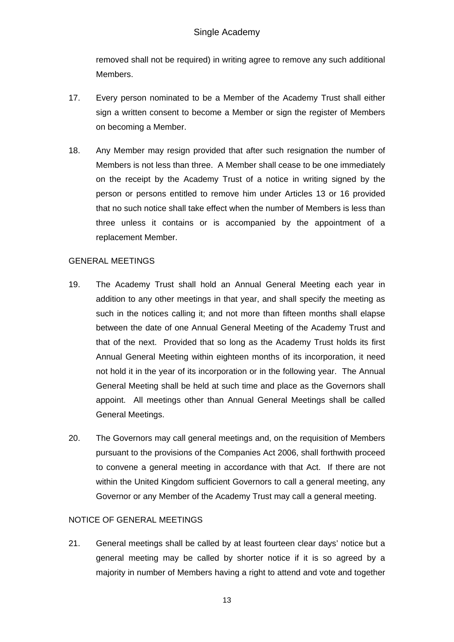removed shall not be required) in writing agree to remove any such additional Members.

- 17. Every person nominated to be a Member of the Academy Trust shall either sign a written consent to become a Member or sign the register of Members on becoming a Member.
- 18. Any Member may resign provided that after such resignation the number of Members is not less than three. A Member shall cease to be one immediately on the receipt by the Academy Trust of a notice in writing signed by the person or persons entitled to remove him under Articles 13 or 16 provided that no such notice shall take effect when the number of Members is less than three unless it contains or is accompanied by the appointment of a replacement Member.

# GENERAL MEETINGS

- 19. The Academy Trust shall hold an Annual General Meeting each year in addition to any other meetings in that year, and shall specify the meeting as such in the notices calling it; and not more than fifteen months shall elapse between the date of one Annual General Meeting of the Academy Trust and that of the next. Provided that so long as the Academy Trust holds its first Annual General Meeting within eighteen months of its incorporation, it need not hold it in the year of its incorporation or in the following year. The Annual General Meeting shall be held at such time and place as the Governors shall appoint. All meetings other than Annual General Meetings shall be called General Meetings.
- 20. The Governors may call general meetings and, on the requisition of Members pursuant to the provisions of the Companies Act 2006, shall forthwith proceed to convene a general meeting in accordance with that Act. If there are not within the United Kingdom sufficient Governors to call a general meeting, any Governor or any Member of the Academy Trust may call a general meeting.

# NOTICE OF GENERAL MEETINGS

21. General meetings shall be called by at least fourteen clear days' notice but a general meeting may be called by shorter notice if it is so agreed by a majority in number of Members having a right to attend and vote and together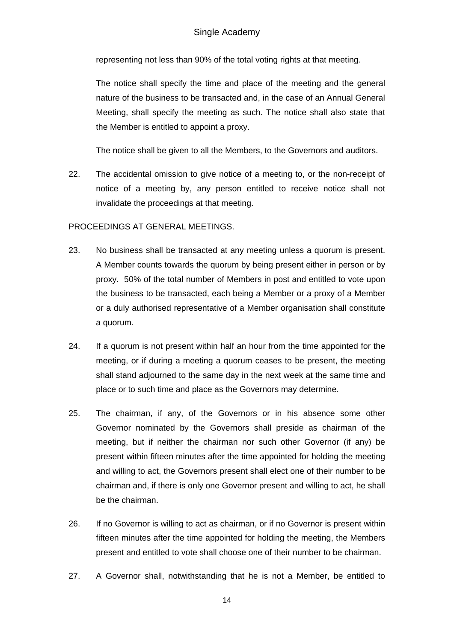representing not less than 90% of the total voting rights at that meeting.

The notice shall specify the time and place of the meeting and the general nature of the business to be transacted and, in the case of an Annual General Meeting, shall specify the meeting as such. The notice shall also state that the Member is entitled to appoint a proxy.

The notice shall be given to all the Members, to the Governors and auditors.

22. The accidental omission to give notice of a meeting to, or the non-receipt of notice of a meeting by, any person entitled to receive notice shall not invalidate the proceedings at that meeting.

# PROCEEDINGS AT GENERAL MEETINGS.

- 23. No business shall be transacted at any meeting unless a quorum is present. A Member counts towards the quorum by being present either in person or by proxy. 50% of the total number of Members in post and entitled to vote upon the business to be transacted, each being a Member or a proxy of a Member or a duly authorised representative of a Member organisation shall constitute a quorum.
- 24. If a quorum is not present within half an hour from the time appointed for the meeting, or if during a meeting a quorum ceases to be present, the meeting shall stand adjourned to the same day in the next week at the same time and place or to such time and place as the Governors may determine.
- 25. The chairman, if any, of the Governors or in his absence some other Governor nominated by the Governors shall preside as chairman of the meeting, but if neither the chairman nor such other Governor (if any) be present within fifteen minutes after the time appointed for holding the meeting and willing to act, the Governors present shall elect one of their number to be chairman and, if there is only one Governor present and willing to act, he shall be the chairman.
- 26. If no Governor is willing to act as chairman, or if no Governor is present within fifteen minutes after the time appointed for holding the meeting, the Members present and entitled to vote shall choose one of their number to be chairman.
- 27. A Governor shall, notwithstanding that he is not a Member, be entitled to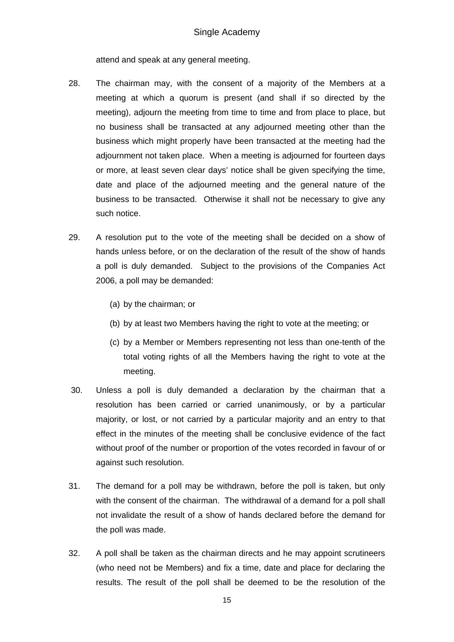attend and speak at any general meeting.

- 28. The chairman may, with the consent of a majority of the Members at a meeting at which a quorum is present (and shall if so directed by the meeting), adjourn the meeting from time to time and from place to place, but no business shall be transacted at any adjourned meeting other than the business which might properly have been transacted at the meeting had the adjournment not taken place. When a meeting is adjourned for fourteen days or more, at least seven clear days' notice shall be given specifying the time, date and place of the adjourned meeting and the general nature of the business to be transacted. Otherwise it shall not be necessary to give any such notice.
- 29. A resolution put to the vote of the meeting shall be decided on a show of hands unless before, or on the declaration of the result of the show of hands a poll is duly demanded. Subject to the provisions of the Companies Act 2006, a poll may be demanded:
	- (a) by the chairman; or
	- (b) by at least two Members having the right to vote at the meeting; or
	- (c) by a Member or Members representing not less than one-tenth of the total voting rights of all the Members having the right to vote at the meeting.
- 30. Unless a poll is duly demanded a declaration by the chairman that a resolution has been carried or carried unanimously, or by a particular majority, or lost, or not carried by a particular majority and an entry to that effect in the minutes of the meeting shall be conclusive evidence of the fact without proof of the number or proportion of the votes recorded in favour of or against such resolution.
- 31. The demand for a poll may be withdrawn, before the poll is taken, but only with the consent of the chairman. The withdrawal of a demand for a poll shall not invalidate the result of a show of hands declared before the demand for the poll was made.
- 32. A poll shall be taken as the chairman directs and he may appoint scrutineers (who need not be Members) and fix a time, date and place for declaring the results. The result of the poll shall be deemed to be the resolution of the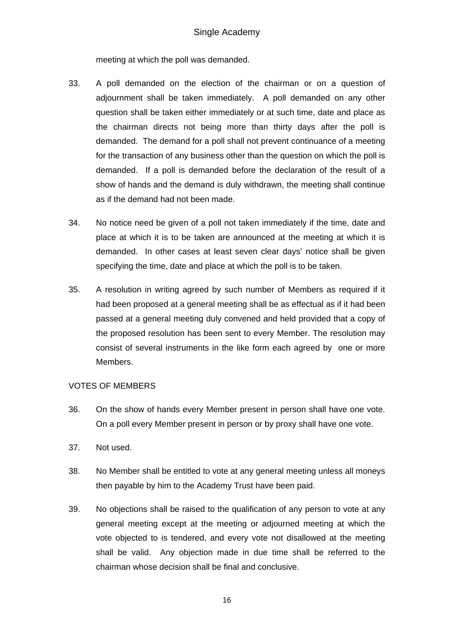meeting at which the poll was demanded.

- 33. A poll demanded on the election of the chairman or on a question of adjournment shall be taken immediately. A poll demanded on any other question shall be taken either immediately or at such time, date and place as the chairman directs not being more than thirty days after the poll is demanded. The demand for a poll shall not prevent continuance of a meeting for the transaction of any business other than the question on which the poll is demanded. If a poll is demanded before the declaration of the result of a show of hands and the demand is duly withdrawn, the meeting shall continue as if the demand had not been made.
- 34. No notice need be given of a poll not taken immediately if the time, date and place at which it is to be taken are announced at the meeting at which it is demanded. In other cases at least seven clear days' notice shall be given specifying the time, date and place at which the poll is to be taken.
- 35. A resolution in writing agreed by such number of Members as required if it had been proposed at a general meeting shall be as effectual as if it had been passed at a general meeting duly convened and held provided that a copy of the proposed resolution has been sent to every Member. The resolution may consist of several instruments in the like form each agreed by one or more Members.

### VOTES OF MEMBERS

- 36. On the show of hands every Member present in person shall have one vote. On a poll every Member present in person or by proxy shall have one vote.
- 37. Not used.
- 38. No Member shall be entitled to vote at any general meeting unless all moneys then payable by him to the Academy Trust have been paid.
- 39. No objections shall be raised to the qualification of any person to vote at any general meeting except at the meeting or adjourned meeting at which the vote objected to is tendered, and every vote not disallowed at the meeting shall be valid. Any objection made in due time shall be referred to the chairman whose decision shall be final and conclusive.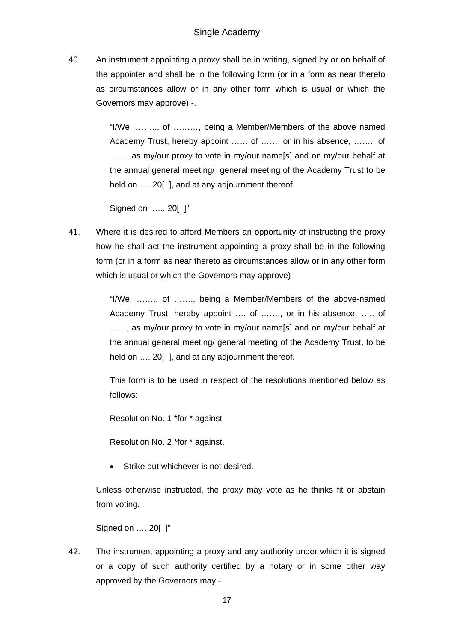40. An instrument appointing a proxy shall be in writing, signed by or on behalf of the appointer and shall be in the following form (or in a form as near thereto as circumstances allow or in any other form which is usual or which the Governors may approve) -.

> "I/We, …….., of ………, being a Member/Members of the above named Academy Trust, hereby appoint …… of ……, or in his absence, …….. of ……. as my/our proxy to vote in my/our name[s] and on my/our behalf at the annual general meeting/ general meeting of the Academy Trust to be held on .....20[], and at any adjournment thereof.

Signed on ..... 20[ ]"

41. Where it is desired to afford Members an opportunity of instructing the proxy how he shall act the instrument appointing a proxy shall be in the following form (or in a form as near thereto as circumstances allow or in any other form which is usual or which the Governors may approve)-

> "I/We, ……., of ……., being a Member/Members of the above-named Academy Trust, hereby appoint …. of ……., or in his absence, ….. of ......, as my/our proxy to vote in my/our name[s] and on my/our behalf at the annual general meeting/ general meeting of the Academy Trust, to be held on .... 20 [], and at any adjournment thereof.

> This form is to be used in respect of the resolutions mentioned below as follows:

Resolution No. 1 \*for \* against

Resolution No. 2 \*for \* against.

Strike out whichever is not desired.

Unless otherwise instructed, the proxy may vote as he thinks fit or abstain from voting.

Signed on …. 20[ ]"

42. The instrument appointing a proxy and any authority under which it is signed or a copy of such authority certified by a notary or in some other way approved by the Governors may -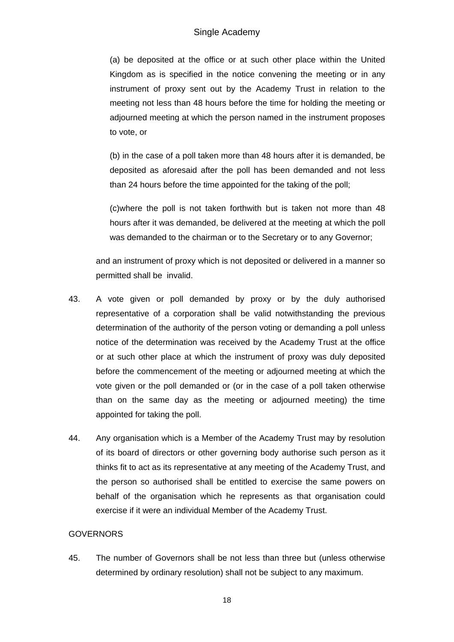(a) be deposited at the office or at such other place within the United Kingdom as is specified in the notice convening the meeting or in any instrument of proxy sent out by the Academy Trust in relation to the meeting not less than 48 hours before the time for holding the meeting or adjourned meeting at which the person named in the instrument proposes to vote, or

(b) in the case of a poll taken more than 48 hours after it is demanded, be deposited as aforesaid after the poll has been demanded and not less than 24 hours before the time appointed for the taking of the poll;

(c)where the poll is not taken forthwith but is taken not more than 48 hours after it was demanded, be delivered at the meeting at which the poll was demanded to the chairman or to the Secretary or to any Governor;

and an instrument of proxy which is not deposited or delivered in a manner so permitted shall be invalid.

- 43. A vote given or poll demanded by proxy or by the duly authorised representative of a corporation shall be valid notwithstanding the previous determination of the authority of the person voting or demanding a poll unless notice of the determination was received by the Academy Trust at the office or at such other place at which the instrument of proxy was duly deposited before the commencement of the meeting or adjourned meeting at which the vote given or the poll demanded or (or in the case of a poll taken otherwise than on the same day as the meeting or adjourned meeting) the time appointed for taking the poll.
- 44. Any organisation which is a Member of the Academy Trust may by resolution of its board of directors or other governing body authorise such person as it thinks fit to act as its representative at any meeting of the Academy Trust, and the person so authorised shall be entitled to exercise the same powers on behalf of the organisation which he represents as that organisation could exercise if it were an individual Member of the Academy Trust.

# **GOVERNORS**

45. The number of Governors shall be not less than three but (unless otherwise determined by ordinary resolution) shall not be subject to any maximum.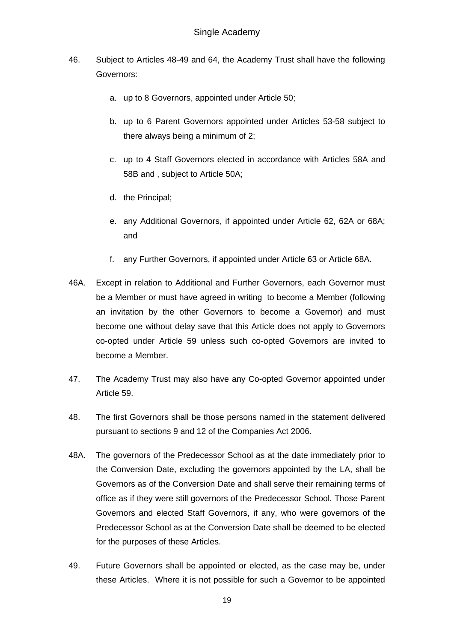- 46. Subject to Articles 48-49 and 64, the Academy Trust shall have the following Governors:
	- a. up to 8 Governors, appointed under Article 50;
	- b. up to 6 Parent Governors appointed under Articles 53-58 subject to there always being a minimum of 2;
	- c. up to 4 Staff Governors elected in accordance with Articles 58A and 58B and , subject to Article 50A;
	- d. the Principal;
	- e. any Additional Governors, if appointed under Article 62, 62A or 68A; and
	- f. any Further Governors, if appointed under Article 63 or Article 68A.
- 46A. Except in relation to Additional and Further Governors, each Governor must be a Member or must have agreed in writing to become a Member (following an invitation by the other Governors to become a Governor) and must become one without delay save that this Article does not apply to Governors co-opted under Article 59 unless such co-opted Governors are invited to become a Member.
- 47. The Academy Trust may also have any Co-opted Governor appointed under Article 59.
- 48. The first Governors shall be those persons named in the statement delivered pursuant to sections 9 and 12 of the Companies Act 2006.
- 48A. The governors of the Predecessor School as at the date immediately prior to the Conversion Date, excluding the governors appointed by the LA, shall be Governors as of the Conversion Date and shall serve their remaining terms of office as if they were still governors of the Predecessor School. Those Parent Governors and elected Staff Governors, if any, who were governors of the Predecessor School as at the Conversion Date shall be deemed to be elected for the purposes of these Articles.
- 49. Future Governors shall be appointed or elected, as the case may be, under these Articles. Where it is not possible for such a Governor to be appointed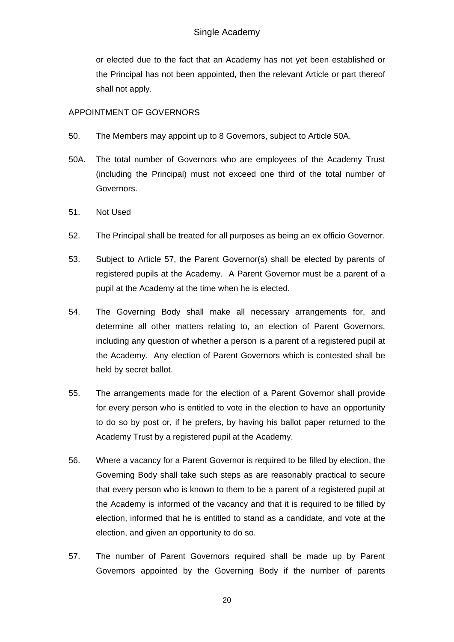or elected due to the fact that an Academy has not yet been established or the Principal has not been appointed, then the relevant Article or part thereof shall not apply.

## APPOINTMENT OF GOVERNORS

- 50. The Members may appoint up to 8 Governors, subject to Article 50A.
- 50A. The total number of Governors who are employees of the Academy Trust (including the Principal) must not exceed one third of the total number of Governors.
- 51. Not Used
- 52. The Principal shall be treated for all purposes as being an ex officio Governor.
- 53. Subject to Article 57, the Parent Governor(s) shall be elected by parents of registered pupils at the Academy. A Parent Governor must be a parent of a pupil at the Academy at the time when he is elected.
- 54. The Governing Body shall make all necessary arrangements for, and determine all other matters relating to, an election of Parent Governors, including any question of whether a person is a parent of a registered pupil at the Academy. Any election of Parent Governors which is contested shall be held by secret ballot.
- 55. The arrangements made for the election of a Parent Governor shall provide for every person who is entitled to vote in the election to have an opportunity to do so by post or, if he prefers, by having his ballot paper returned to the Academy Trust by a registered pupil at the Academy.
- 56. Where a vacancy for a Parent Governor is required to be filled by election, the Governing Body shall take such steps as are reasonably practical to secure that every person who is known to them to be a parent of a registered pupil at the Academy is informed of the vacancy and that it is required to be filled by election, informed that he is entitled to stand as a candidate, and vote at the election, and given an opportunity to do so.
- 57. The number of Parent Governors required shall be made up by Parent Governors appointed by the Governing Body if the number of parents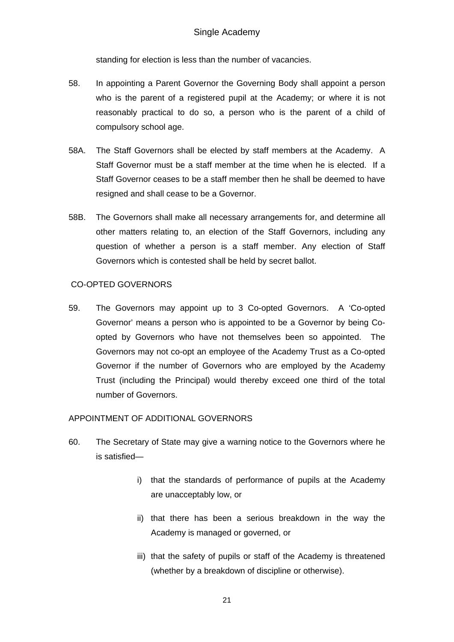standing for election is less than the number of vacancies.

- 58. In appointing a Parent Governor the Governing Body shall appoint a person who is the parent of a registered pupil at the Academy; or where it is not reasonably practical to do so, a person who is the parent of a child of compulsory school age.
- 58A. The Staff Governors shall be elected by staff members at the Academy. A Staff Governor must be a staff member at the time when he is elected. If a Staff Governor ceases to be a staff member then he shall be deemed to have resigned and shall cease to be a Governor.
- 58B. The Governors shall make all necessary arrangements for, and determine all other matters relating to, an election of the Staff Governors, including any question of whether a person is a staff member. Any election of Staff Governors which is contested shall be held by secret ballot.

## CO-OPTED GOVERNORS

59. The Governors may appoint up to 3 Co-opted Governors. A 'Co-opted Governor' means a person who is appointed to be a Governor by being Coopted by Governors who have not themselves been so appointed. The Governors may not co-opt an employee of the Academy Trust as a Co-opted Governor if the number of Governors who are employed by the Academy Trust (including the Principal) would thereby exceed one third of the total number of Governors.

# APPOINTMENT OF ADDITIONAL GOVERNORS

- 60. The Secretary of State may give a warning notice to the Governors where he is satisfied
	- i) that the standards of performance of pupils at the Academy are unacceptably low, or
	- ii) that there has been a serious breakdown in the way the Academy is managed or governed, or
	- iii) that the safety of pupils or staff of the Academy is threatened (whether by a breakdown of discipline or otherwise).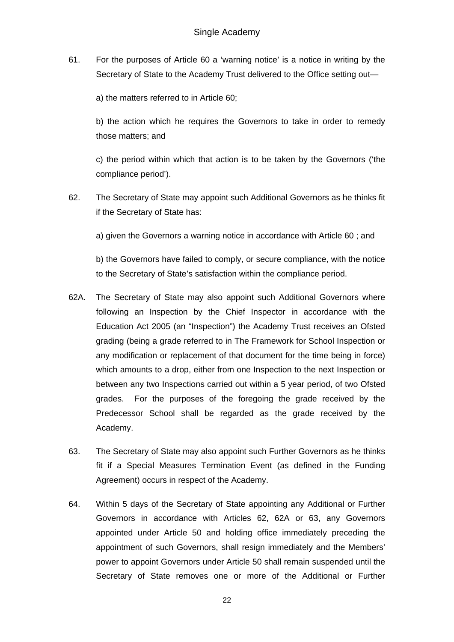61. For the purposes of Article 60 a 'warning notice' is a notice in writing by the Secretary of State to the Academy Trust delivered to the Office setting out—

a) the matters referred to in Article 60;

b) the action which he requires the Governors to take in order to remedy those matters; and

c) the period within which that action is to be taken by the Governors ('the compliance period').

62. The Secretary of State may appoint such Additional Governors as he thinks fit if the Secretary of State has:

a) given the Governors a warning notice in accordance with Article 60 ; and

b) the Governors have failed to comply, or secure compliance, with the notice to the Secretary of State's satisfaction within the compliance period.

- 62A. The Secretary of State may also appoint such Additional Governors where following an Inspection by the Chief Inspector in accordance with the Education Act 2005 (an "Inspection") the Academy Trust receives an Ofsted grading (being a grade referred to in The Framework for School Inspection or any modification or replacement of that document for the time being in force) which amounts to a drop, either from one Inspection to the next Inspection or between any two Inspections carried out within a 5 year period, of two Ofsted grades. For the purposes of the foregoing the grade received by the Predecessor School shall be regarded as the grade received by the Academy.
- 63. The Secretary of State may also appoint such Further Governors as he thinks fit if a Special Measures Termination Event (as defined in the Funding Agreement) occurs in respect of the Academy.
- 64. Within 5 days of the Secretary of State appointing any Additional or Further Governors in accordance with Articles 62, 62A or 63, any Governors appointed under Article 50 and holding office immediately preceding the appointment of such Governors, shall resign immediately and the Members' power to appoint Governors under Article 50 shall remain suspended until the Secretary of State removes one or more of the Additional or Further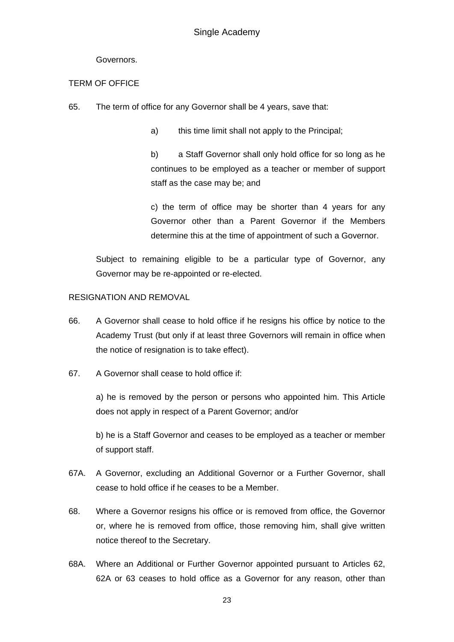## Governors.

## TERM OF OFFICE

65. The term of office for any Governor shall be 4 years, save that:

a) this time limit shall not apply to the Principal;

b) a Staff Governor shall only hold office for so long as he continues to be employed as a teacher or member of support staff as the case may be; and

c) the term of office may be shorter than 4 years for any Governor other than a Parent Governor if the Members determine this at the time of appointment of such a Governor.

Subject to remaining eligible to be a particular type of Governor, any Governor may be re-appointed or re-elected.

## RESIGNATION AND REMOVAL

- 66. A Governor shall cease to hold office if he resigns his office by notice to the Academy Trust (but only if at least three Governors will remain in office when the notice of resignation is to take effect).
- 67. A Governor shall cease to hold office if:

a) he is removed by the person or persons who appointed him. This Article does not apply in respect of a Parent Governor; and/or

b) he is a Staff Governor and ceases to be employed as a teacher or member of support staff.

- 67A. A Governor, excluding an Additional Governor or a Further Governor, shall cease to hold office if he ceases to be a Member.
- 68. Where a Governor resigns his office or is removed from office, the Governor or, where he is removed from office, those removing him, shall give written notice thereof to the Secretary.
- 68A. Where an Additional or Further Governor appointed pursuant to Articles 62, 62A or 63 ceases to hold office as a Governor for any reason, other than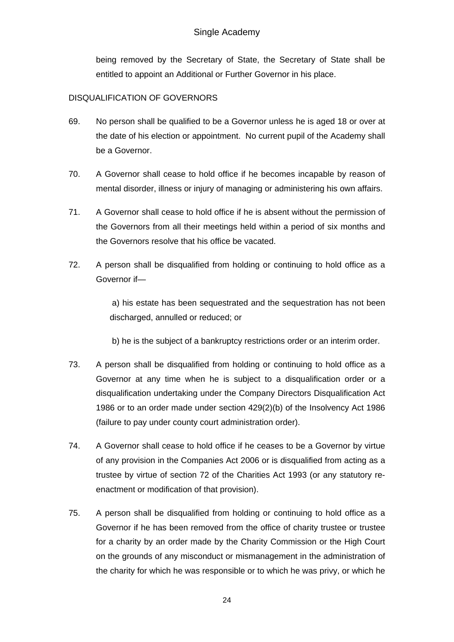being removed by the Secretary of State, the Secretary of State shall be entitled to appoint an Additional or Further Governor in his place.

# DISQUALIFICATION OF GOVERNORS

- 69. No person shall be qualified to be a Governor unless he is aged 18 or over at the date of his election or appointment. No current pupil of the Academy shall be a Governor.
- 70. A Governor shall cease to hold office if he becomes incapable by reason of mental disorder, illness or injury of managing or administering his own affairs.
- 71. A Governor shall cease to hold office if he is absent without the permission of the Governors from all their meetings held within a period of six months and the Governors resolve that his office be vacated.
- 72. A person shall be disqualified from holding or continuing to hold office as a Governor if—

 a) his estate has been sequestrated and the sequestration has not been discharged, annulled or reduced; or

b) he is the subject of a bankruptcy restrictions order or an interim order.

- 73. A person shall be disqualified from holding or continuing to hold office as a Governor at any time when he is subject to a disqualification order or a disqualification undertaking under the Company Directors Disqualification Act 1986 or to an order made under section 429(2)(b) of the Insolvency Act 1986 (failure to pay under county court administration order).
- 74. A Governor shall cease to hold office if he ceases to be a Governor by virtue of any provision in the Companies Act 2006 or is disqualified from acting as a trustee by virtue of section 72 of the Charities Act 1993 (or any statutory reenactment or modification of that provision).
- 75. A person shall be disqualified from holding or continuing to hold office as a Governor if he has been removed from the office of charity trustee or trustee for a charity by an order made by the Charity Commission or the High Court on the grounds of any misconduct or mismanagement in the administration of the charity for which he was responsible or to which he was privy, or which he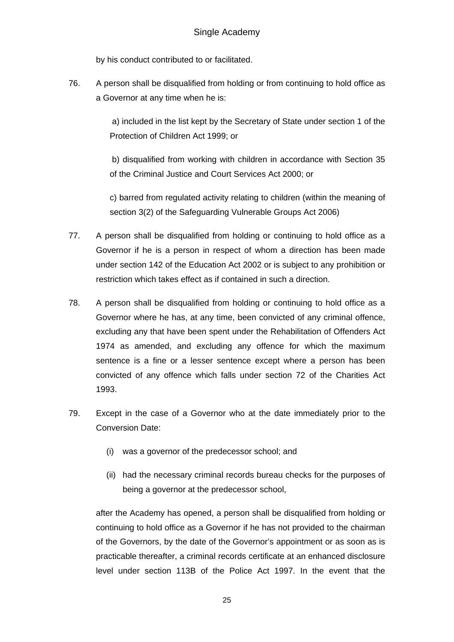by his conduct contributed to or facilitated.

76. A person shall be disqualified from holding or from continuing to hold office as a Governor at any time when he is:

> a) included in the list kept by the Secretary of State under section 1 of the Protection of Children Act 1999; or

> b) disqualified from working with children in accordance with Section 35 of the Criminal Justice and Court Services Act 2000; or

> c) barred from regulated activity relating to children (within the meaning of section 3(2) of the Safeguarding Vulnerable Groups Act 2006)

- 77. A person shall be disqualified from holding or continuing to hold office as a Governor if he is a person in respect of whom a direction has been made under section 142 of the Education Act 2002 or is subject to any prohibition or restriction which takes effect as if contained in such a direction.
- 78. A person shall be disqualified from holding or continuing to hold office as a Governor where he has, at any time, been convicted of any criminal offence, excluding any that have been spent under the Rehabilitation of Offenders Act 1974 as amended, and excluding any offence for which the maximum sentence is a fine or a lesser sentence except where a person has been convicted of any offence which falls under section 72 of the Charities Act 1993.
- 79. Except in the case of a Governor who at the date immediately prior to the Conversion Date:
	- (i) was a governor of the predecessor school; and
	- (ii) had the necessary criminal records bureau checks for the purposes of being a governor at the predecessor school,

after the Academy has opened, a person shall be disqualified from holding or continuing to hold office as a Governor if he has not provided to the chairman of the Governors, by the date of the Governor's appointment or as soon as is practicable thereafter, a criminal records certificate at an enhanced disclosure level under section 113B of the Police Act 1997. In the event that the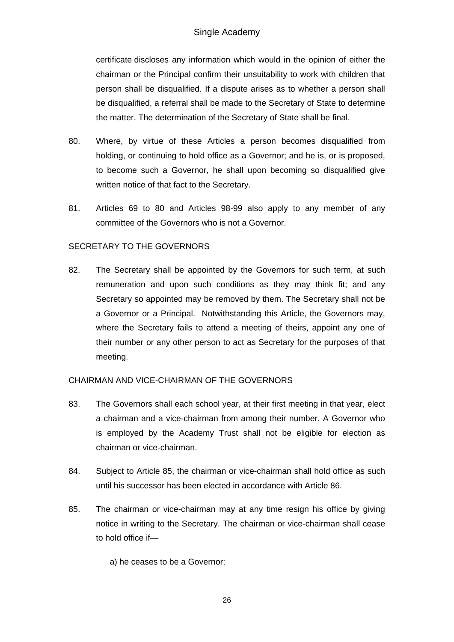certificate discloses any information which would in the opinion of either the chairman or the Principal confirm their unsuitability to work with children that person shall be disqualified. If a dispute arises as to whether a person shall be disqualified, a referral shall be made to the Secretary of State to determine the matter. The determination of the Secretary of State shall be final.

- 80. Where, by virtue of these Articles a person becomes disqualified from holding, or continuing to hold office as a Governor; and he is, or is proposed, to become such a Governor, he shall upon becoming so disqualified give written notice of that fact to the Secretary.
- 81. Articles 69 to 80 and Articles 98-99 also apply to any member of any committee of the Governors who is not a Governor.

### SECRETARY TO THE GOVERNORS

82. The Secretary shall be appointed by the Governors for such term, at such remuneration and upon such conditions as they may think fit; and any Secretary so appointed may be removed by them. The Secretary shall not be a Governor or a Principal. Notwithstanding this Article, the Governors may, where the Secretary fails to attend a meeting of theirs, appoint any one of their number or any other person to act as Secretary for the purposes of that meeting.

### CHAIRMAN AND VICE-CHAIRMAN OF THE GOVERNORS

- 83. The Governors shall each school year, at their first meeting in that year, elect a chairman and a vice-chairman from among their number. A Governor who is employed by the Academy Trust shall not be eligible for election as chairman or vice-chairman.
- 84. Subject to Article 85, the chairman or vice-chairman shall hold office as such until his successor has been elected in accordance with Article 86.
- 85. The chairman or vice-chairman may at any time resign his office by giving notice in writing to the Secretary. The chairman or vice-chairman shall cease to hold office if—

a) he ceases to be a Governor;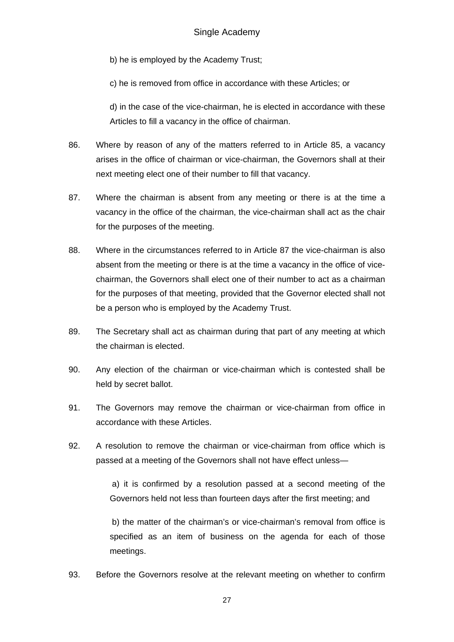b) he is employed by the Academy Trust;

c) he is removed from office in accordance with these Articles; or

d) in the case of the vice-chairman, he is elected in accordance with these Articles to fill a vacancy in the office of chairman.

- 86. Where by reason of any of the matters referred to in Article 85, a vacancy arises in the office of chairman or vice-chairman, the Governors shall at their next meeting elect one of their number to fill that vacancy.
- 87. Where the chairman is absent from any meeting or there is at the time a vacancy in the office of the chairman, the vice-chairman shall act as the chair for the purposes of the meeting.
- 88. Where in the circumstances referred to in Article 87 the vice-chairman is also absent from the meeting or there is at the time a vacancy in the office of vicechairman, the Governors shall elect one of their number to act as a chairman for the purposes of that meeting, provided that the Governor elected shall not be a person who is employed by the Academy Trust.
- 89. The Secretary shall act as chairman during that part of any meeting at which the chairman is elected.
- 90. Any election of the chairman or vice-chairman which is contested shall be held by secret ballot.
- 91. The Governors may remove the chairman or vice-chairman from office in accordance with these Articles.
- 92. A resolution to remove the chairman or vice-chairman from office which is passed at a meeting of the Governors shall not have effect unless—

 a) it is confirmed by a resolution passed at a second meeting of the Governors held not less than fourteen days after the first meeting; and

 b) the matter of the chairman's or vice-chairman's removal from office is specified as an item of business on the agenda for each of those meetings.

93. Before the Governors resolve at the relevant meeting on whether to confirm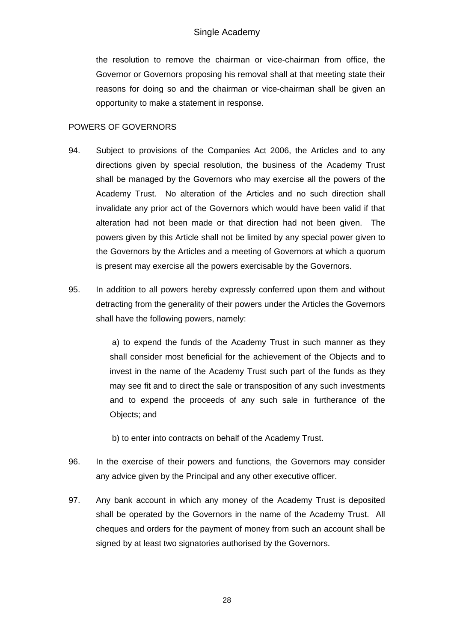the resolution to remove the chairman or vice-chairman from office, the Governor or Governors proposing his removal shall at that meeting state their reasons for doing so and the chairman or vice-chairman shall be given an opportunity to make a statement in response.

## POWERS OF GOVERNORS

- 94. Subject to provisions of the Companies Act 2006, the Articles and to any directions given by special resolution, the business of the Academy Trust shall be managed by the Governors who may exercise all the powers of the Academy Trust. No alteration of the Articles and no such direction shall invalidate any prior act of the Governors which would have been valid if that alteration had not been made or that direction had not been given. The powers given by this Article shall not be limited by any special power given to the Governors by the Articles and a meeting of Governors at which a quorum is present may exercise all the powers exercisable by the Governors.
- 95. In addition to all powers hereby expressly conferred upon them and without detracting from the generality of their powers under the Articles the Governors shall have the following powers, namely:

 a) to expend the funds of the Academy Trust in such manner as they shall consider most beneficial for the achievement of the Objects and to invest in the name of the Academy Trust such part of the funds as they may see fit and to direct the sale or transposition of any such investments and to expend the proceeds of any such sale in furtherance of the Objects; and

- b) to enter into contracts on behalf of the Academy Trust.
- 96. In the exercise of their powers and functions, the Governors may consider any advice given by the Principal and any other executive officer.
- 97. Any bank account in which any money of the Academy Trust is deposited shall be operated by the Governors in the name of the Academy Trust. All cheques and orders for the payment of money from such an account shall be signed by at least two signatories authorised by the Governors.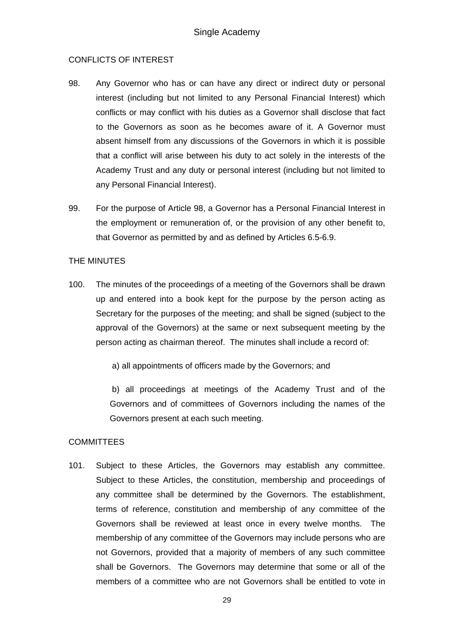### CONFLICTS OF INTEREST

- 98. Any Governor who has or can have any direct or indirect duty or personal interest (including but not limited to any Personal Financial Interest) which conflicts or may conflict with his duties as a Governor shall disclose that fact to the Governors as soon as he becomes aware of it. A Governor must absent himself from any discussions of the Governors in which it is possible that a conflict will arise between his duty to act solely in the interests of the Academy Trust and any duty or personal interest (including but not limited to any Personal Financial Interest).
- 99. For the purpose of Article 98, a Governor has a Personal Financial Interest in the employment or remuneration of, or the provision of any other benefit to, that Governor as permitted by and as defined by Articles 6.5-6.9.

### THE MINUTES

100. The minutes of the proceedings of a meeting of the Governors shall be drawn up and entered into a book kept for the purpose by the person acting as Secretary for the purposes of the meeting; and shall be signed (subject to the approval of the Governors) at the same or next subsequent meeting by the person acting as chairman thereof. The minutes shall include a record of:

a) all appointments of officers made by the Governors; and

 b) all proceedings at meetings of the Academy Trust and of the Governors and of committees of Governors including the names of the Governors present at each such meeting.

### **COMMITTEES**

101. Subject to these Articles, the Governors may establish any committee. Subject to these Articles, the constitution, membership and proceedings of any committee shall be determined by the Governors. The establishment, terms of reference, constitution and membership of any committee of the Governors shall be reviewed at least once in every twelve months. The membership of any committee of the Governors may include persons who are not Governors, provided that a majority of members of any such committee shall be Governors. The Governors may determine that some or all of the members of a committee who are not Governors shall be entitled to vote in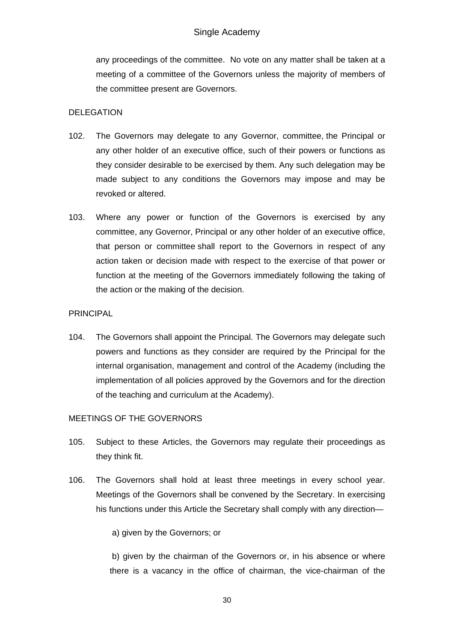any proceedings of the committee. No vote on any matter shall be taken at a meeting of a committee of the Governors unless the majority of members of the committee present are Governors.

### DELEGATION

- 102. The Governors may delegate to any Governor, committee, the Principal or any other holder of an executive office, such of their powers or functions as they consider desirable to be exercised by them. Any such delegation may be made subject to any conditions the Governors may impose and may be revoked or altered.
- 103. Where any power or function of the Governors is exercised by any committee, any Governor, Principal or any other holder of an executive office, that person or committee shall report to the Governors in respect of any action taken or decision made with respect to the exercise of that power or function at the meeting of the Governors immediately following the taking of the action or the making of the decision.

### PRINCIPAL

104. The Governors shall appoint the Principal. The Governors may delegate such powers and functions as they consider are required by the Principal for the internal organisation, management and control of the Academy (including the implementation of all policies approved by the Governors and for the direction of the teaching and curriculum at the Academy).

### MEETINGS OF THE GOVERNORS

- 105. Subject to these Articles, the Governors may regulate their proceedings as they think fit.
- 106. The Governors shall hold at least three meetings in every school year. Meetings of the Governors shall be convened by the Secretary. In exercising his functions under this Article the Secretary shall comply with any direction—

a) given by the Governors; or

b) given by the chairman of the Governors or, in his absence or where there is a vacancy in the office of chairman, the vice-chairman of the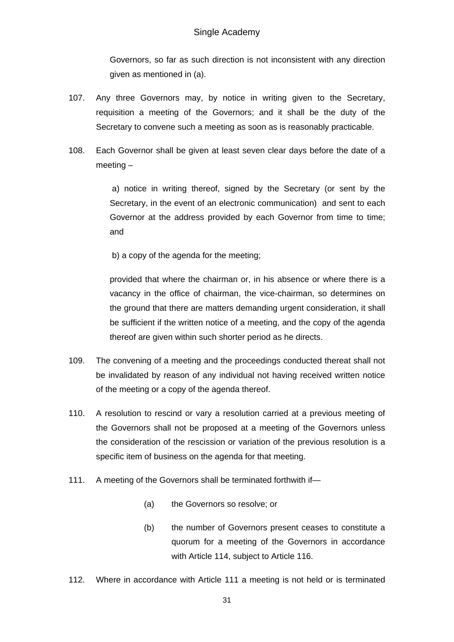Governors, so far as such direction is not inconsistent with any direction given as mentioned in (a).

- 107. Any three Governors may, by notice in writing given to the Secretary, requisition a meeting of the Governors; and it shall be the duty of the Secretary to convene such a meeting as soon as is reasonably practicable.
- 108. Each Governor shall be given at least seven clear days before the date of a meeting –

 a) notice in writing thereof, signed by the Secretary (or sent by the Secretary, in the event of an electronic communication) and sent to each Governor at the address provided by each Governor from time to time; and

b) a copy of the agenda for the meeting;

provided that where the chairman or, in his absence or where there is a vacancy in the office of chairman, the vice-chairman, so determines on the ground that there are matters demanding urgent consideration, it shall be sufficient if the written notice of a meeting, and the copy of the agenda thereof are given within such shorter period as he directs.

- 109. The convening of a meeting and the proceedings conducted thereat shall not be invalidated by reason of any individual not having received written notice of the meeting or a copy of the agenda thereof.
- 110. A resolution to rescind or vary a resolution carried at a previous meeting of the Governors shall not be proposed at a meeting of the Governors unless the consideration of the rescission or variation of the previous resolution is a specific item of business on the agenda for that meeting.
- 111. A meeting of the Governors shall be terminated forthwith if—
	- (a) the Governors so resolve; or
	- (b) the number of Governors present ceases to constitute a quorum for a meeting of the Governors in accordance with Article 114, subject to Article 116.
- 112. Where in accordance with Article 111 a meeting is not held or is terminated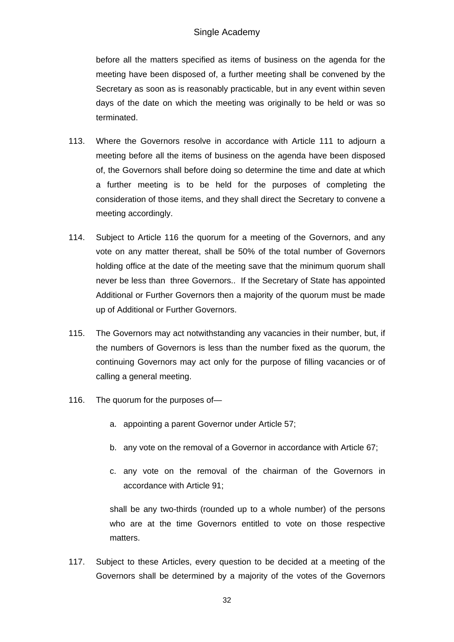before all the matters specified as items of business on the agenda for the meeting have been disposed of, a further meeting shall be convened by the Secretary as soon as is reasonably practicable, but in any event within seven days of the date on which the meeting was originally to be held or was so terminated.

- 113. Where the Governors resolve in accordance with Article 111 to adjourn a meeting before all the items of business on the agenda have been disposed of, the Governors shall before doing so determine the time and date at which a further meeting is to be held for the purposes of completing the consideration of those items, and they shall direct the Secretary to convene a meeting accordingly.
- 114. Subject to Article 116 the quorum for a meeting of the Governors, and any vote on any matter thereat, shall be 50% of the total number of Governors holding office at the date of the meeting save that the minimum quorum shall never be less than three Governors.. If the Secretary of State has appointed Additional or Further Governors then a majority of the quorum must be made up of Additional or Further Governors.
- 115. The Governors may act notwithstanding any vacancies in their number, but, if the numbers of Governors is less than the number fixed as the quorum, the continuing Governors may act only for the purpose of filling vacancies or of calling a general meeting.
- 116. The quorum for the purposes of
	- a. appointing a parent Governor under Article 57;
	- b. any vote on the removal of a Governor in accordance with Article 67;
	- c. any vote on the removal of the chairman of the Governors in accordance with Article 91;

shall be any two-thirds (rounded up to a whole number) of the persons who are at the time Governors entitled to vote on those respective matters.

117. Subject to these Articles, every question to be decided at a meeting of the Governors shall be determined by a majority of the votes of the Governors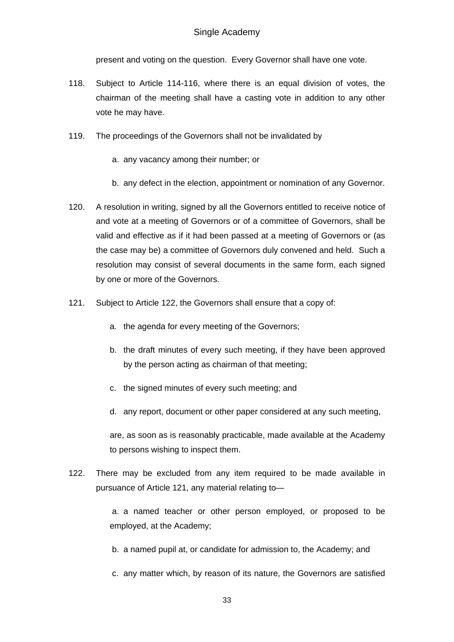present and voting on the question. Every Governor shall have one vote.

- 118. Subject to Article 114-116, where there is an equal division of votes, the chairman of the meeting shall have a casting vote in addition to any other vote he may have.
- 119. The proceedings of the Governors shall not be invalidated by
	- a. any vacancy among their number; or
	- b. any defect in the election, appointment or nomination of any Governor.
- 120. A resolution in writing, signed by all the Governors entitled to receive notice of and vote at a meeting of Governors or of a committee of Governors, shall be valid and effective as if it had been passed at a meeting of Governors or (as the case may be) a committee of Governors duly convened and held. Such a resolution may consist of several documents in the same form, each signed by one or more of the Governors.
- 121. Subject to Article 122, the Governors shall ensure that a copy of:
	- a. the agenda for every meeting of the Governors;
	- b. the draft minutes of every such meeting, if they have been approved by the person acting as chairman of that meeting;
	- c. the signed minutes of every such meeting; and
	- d. any report, document or other paper considered at any such meeting,

are, as soon as is reasonably practicable, made available at the Academy to persons wishing to inspect them.

122. There may be excluded from any item required to be made available in pursuance of Article 121, any material relating to—

> a. a named teacher or other person employed, or proposed to be employed, at the Academy;

- b. a named pupil at, or candidate for admission to, the Academy; and
- c. any matter which, by reason of its nature, the Governors are satisfied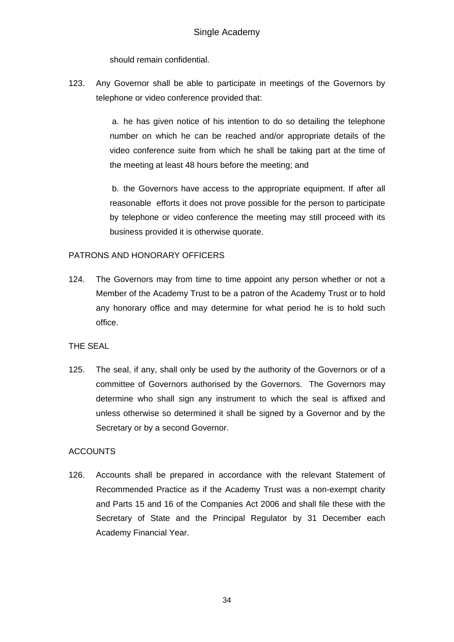should remain confidential.

123. Any Governor shall be able to participate in meetings of the Governors by telephone or video conference provided that:

> a. he has given notice of his intention to do so detailing the telephone number on which he can be reached and/or appropriate details of the video conference suite from which he shall be taking part at the time of the meeting at least 48 hours before the meeting; and

> b. the Governors have access to the appropriate equipment. If after all reasonable efforts it does not prove possible for the person to participate by telephone or video conference the meeting may still proceed with its business provided it is otherwise quorate.

## PATRONS AND HONORARY OFFICERS

124. The Governors may from time to time appoint any person whether or not a Member of the Academy Trust to be a patron of the Academy Trust or to hold any honorary office and may determine for what period he is to hold such office.

### THE SEAL

125. The seal, if any, shall only be used by the authority of the Governors or of a committee of Governors authorised by the Governors. The Governors may determine who shall sign any instrument to which the seal is affixed and unless otherwise so determined it shall be signed by a Governor and by the Secretary or by a second Governor.

### **ACCOUNTS**

126. Accounts shall be prepared in accordance with the relevant Statement of Recommended Practice as if the Academy Trust was a non-exempt charity and Parts 15 and 16 of the Companies Act 2006 and shall file these with the Secretary of State and the Principal Regulator by 31 December each Academy Financial Year.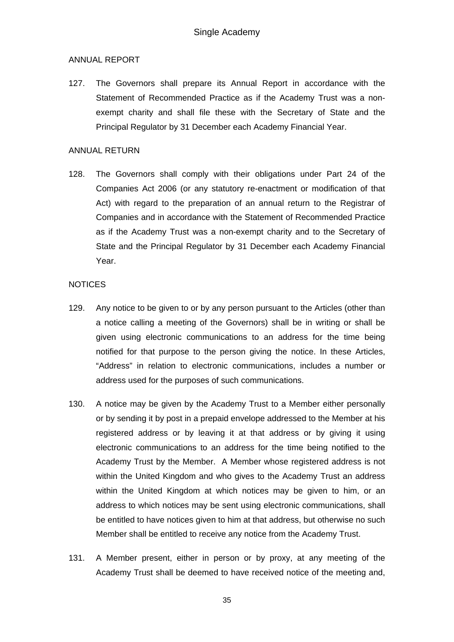### ANNUAL REPORT

127. The Governors shall prepare its Annual Report in accordance with the Statement of Recommended Practice as if the Academy Trust was a nonexempt charity and shall file these with the Secretary of State and the Principal Regulator by 31 December each Academy Financial Year.

#### ANNUAL RETURN

128. The Governors shall comply with their obligations under Part 24 of the Companies Act 2006 (or any statutory re-enactment or modification of that Act) with regard to the preparation of an annual return to the Registrar of Companies and in accordance with the Statement of Recommended Practice as if the Academy Trust was a non-exempt charity and to the Secretary of State and the Principal Regulator by 31 December each Academy Financial Year.

#### **NOTICES**

- 129. Any notice to be given to or by any person pursuant to the Articles (other than a notice calling a meeting of the Governors) shall be in writing or shall be given using electronic communications to an address for the time being notified for that purpose to the person giving the notice. In these Articles, "Address" in relation to electronic communications, includes a number or address used for the purposes of such communications.
- 130. A notice may be given by the Academy Trust to a Member either personally or by sending it by post in a prepaid envelope addressed to the Member at his registered address or by leaving it at that address or by giving it using electronic communications to an address for the time being notified to the Academy Trust by the Member. A Member whose registered address is not within the United Kingdom and who gives to the Academy Trust an address within the United Kingdom at which notices may be given to him, or an address to which notices may be sent using electronic communications, shall be entitled to have notices given to him at that address, but otherwise no such Member shall be entitled to receive any notice from the Academy Trust.
- 131. A Member present, either in person or by proxy, at any meeting of the Academy Trust shall be deemed to have received notice of the meeting and,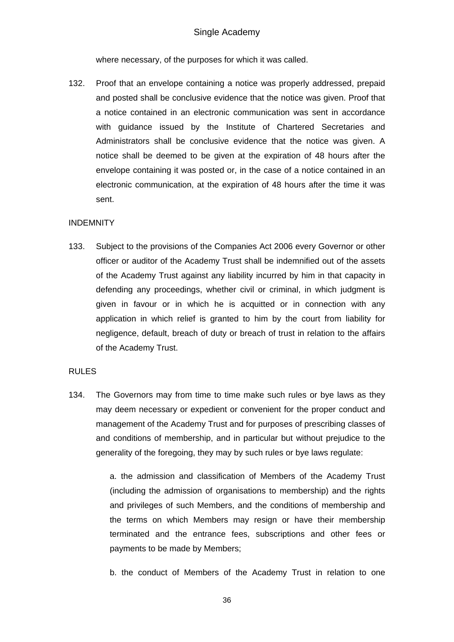where necessary, of the purposes for which it was called.

132. Proof that an envelope containing a notice was properly addressed, prepaid and posted shall be conclusive evidence that the notice was given. Proof that a notice contained in an electronic communication was sent in accordance with guidance issued by the Institute of Chartered Secretaries and Administrators shall be conclusive evidence that the notice was given. A notice shall be deemed to be given at the expiration of 48 hours after the envelope containing it was posted or, in the case of a notice contained in an electronic communication, at the expiration of 48 hours after the time it was sent.

#### INDEMNITY

133. Subject to the provisions of the Companies Act 2006 every Governor or other officer or auditor of the Academy Trust shall be indemnified out of the assets of the Academy Trust against any liability incurred by him in that capacity in defending any proceedings, whether civil or criminal, in which judgment is given in favour or in which he is acquitted or in connection with any application in which relief is granted to him by the court from liability for negligence, default, breach of duty or breach of trust in relation to the affairs of the Academy Trust.

#### RULES

134. The Governors may from time to time make such rules or bye laws as they may deem necessary or expedient or convenient for the proper conduct and management of the Academy Trust and for purposes of prescribing classes of and conditions of membership, and in particular but without prejudice to the generality of the foregoing, they may by such rules or bye laws regulate:

> a. the admission and classification of Members of the Academy Trust (including the admission of organisations to membership) and the rights and privileges of such Members, and the conditions of membership and the terms on which Members may resign or have their membership terminated and the entrance fees, subscriptions and other fees or payments to be made by Members;

> b. the conduct of Members of the Academy Trust in relation to one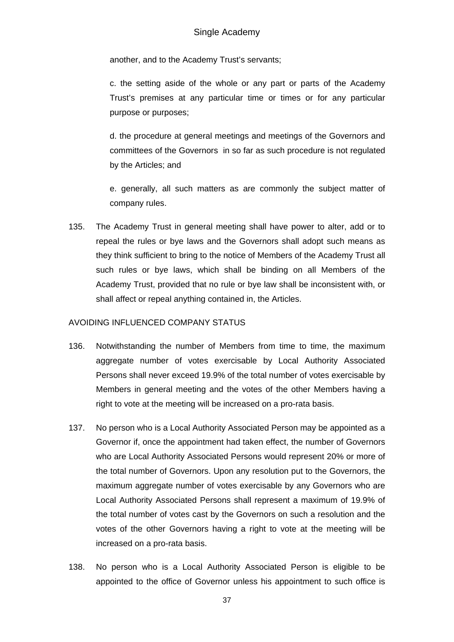another, and to the Academy Trust's servants;

c. the setting aside of the whole or any part or parts of the Academy Trust's premises at any particular time or times or for any particular purpose or purposes;

d. the procedure at general meetings and meetings of the Governors and committees of the Governors in so far as such procedure is not regulated by the Articles; and

e. generally, all such matters as are commonly the subject matter of company rules.

135. The Academy Trust in general meeting shall have power to alter, add or to repeal the rules or bye laws and the Governors shall adopt such means as they think sufficient to bring to the notice of Members of the Academy Trust all such rules or bye laws, which shall be binding on all Members of the Academy Trust, provided that no rule or bye law shall be inconsistent with, or shall affect or repeal anything contained in, the Articles.

### AVOIDING INFLUENCED COMPANY STATUS

- 136. Notwithstanding the number of Members from time to time, the maximum aggregate number of votes exercisable by Local Authority Associated Persons shall never exceed 19.9% of the total number of votes exercisable by Members in general meeting and the votes of the other Members having a right to vote at the meeting will be increased on a pro-rata basis.
- 137. No person who is a Local Authority Associated Person may be appointed as a Governor if, once the appointment had taken effect, the number of Governors who are Local Authority Associated Persons would represent 20% or more of the total number of Governors. Upon any resolution put to the Governors, the maximum aggregate number of votes exercisable by any Governors who are Local Authority Associated Persons shall represent a maximum of 19.9% of the total number of votes cast by the Governors on such a resolution and the votes of the other Governors having a right to vote at the meeting will be increased on a pro-rata basis.
- 138. No person who is a Local Authority Associated Person is eligible to be appointed to the office of Governor unless his appointment to such office is